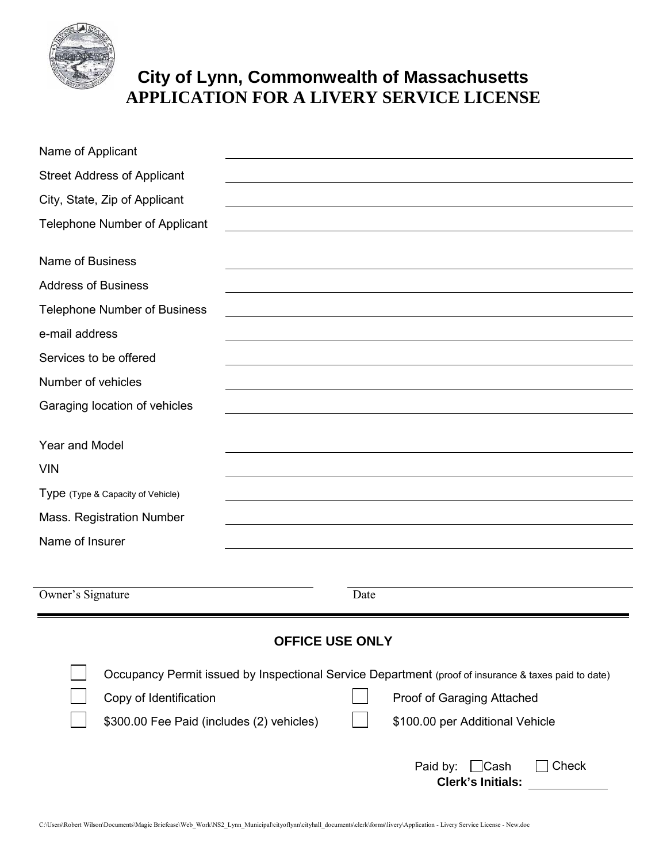

## **City of Lynn, Commonwealth of Massachusetts APPLICATION FOR A LIVERY SERVICE LICENSE**

| Name of Applicant                                                            |                                                                                                      |  |  |  |  |  |  |
|------------------------------------------------------------------------------|------------------------------------------------------------------------------------------------------|--|--|--|--|--|--|
| <b>Street Address of Applicant</b>                                           |                                                                                                      |  |  |  |  |  |  |
| City, State, Zip of Applicant                                                |                                                                                                      |  |  |  |  |  |  |
| <b>Telephone Number of Applicant</b>                                         |                                                                                                      |  |  |  |  |  |  |
| <b>Name of Business</b>                                                      |                                                                                                      |  |  |  |  |  |  |
| <b>Address of Business</b>                                                   |                                                                                                      |  |  |  |  |  |  |
| <b>Telephone Number of Business</b>                                          |                                                                                                      |  |  |  |  |  |  |
| e-mail address                                                               |                                                                                                      |  |  |  |  |  |  |
| Services to be offered                                                       |                                                                                                      |  |  |  |  |  |  |
| Number of vehicles                                                           |                                                                                                      |  |  |  |  |  |  |
| Garaging location of vehicles                                                |                                                                                                      |  |  |  |  |  |  |
|                                                                              |                                                                                                      |  |  |  |  |  |  |
| <b>Year and Model</b>                                                        |                                                                                                      |  |  |  |  |  |  |
| <b>VIN</b>                                                                   |                                                                                                      |  |  |  |  |  |  |
| Type (Type & Capacity of Vehicle)                                            |                                                                                                      |  |  |  |  |  |  |
| Mass. Registration Number                                                    |                                                                                                      |  |  |  |  |  |  |
| Name of Insurer                                                              |                                                                                                      |  |  |  |  |  |  |
|                                                                              |                                                                                                      |  |  |  |  |  |  |
| Owner's Signature                                                            | Date                                                                                                 |  |  |  |  |  |  |
| <b>OFFICE USE ONLY</b>                                                       |                                                                                                      |  |  |  |  |  |  |
|                                                                              |                                                                                                      |  |  |  |  |  |  |
|                                                                              | Occupancy Permit issued by Inspectional Service Department (proof of insurance & taxes paid to date) |  |  |  |  |  |  |
| Copy of Identification                                                       | Proof of Garaging Attached                                                                           |  |  |  |  |  |  |
| \$300.00 Fee Paid (includes (2) vehicles)<br>\$100.00 per Additional Vehicle |                                                                                                      |  |  |  |  |  |  |
|                                                                              | Paid by:<br>$\Box$ Cash<br>Check<br><b>Clerk's Initials:</b>                                         |  |  |  |  |  |  |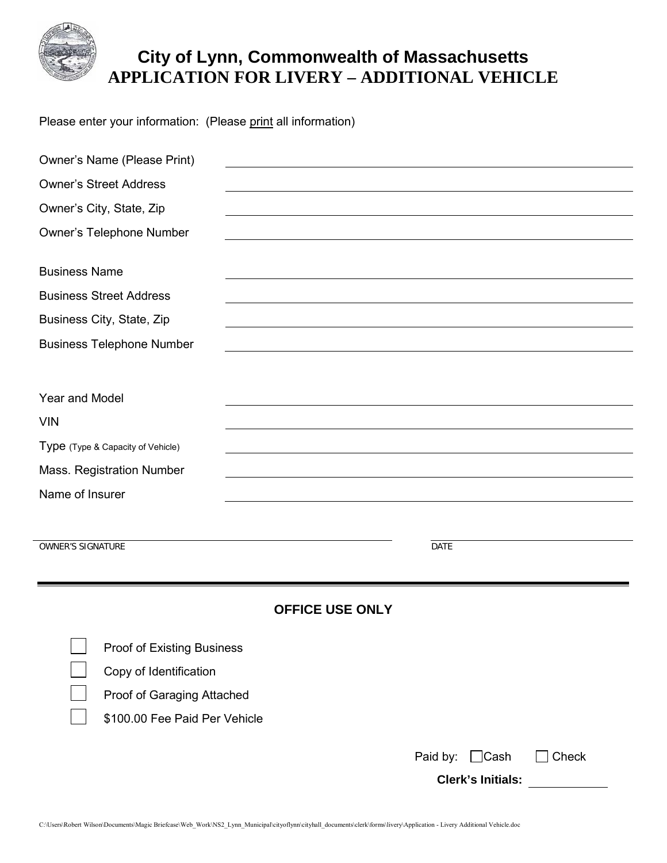

## **City of Lynn, Commonwealth of Massachusetts APPLICATION FOR LIVERY – ADDITIONAL VEHICLE**

Please enter your information: (Please print all information)

| Owner's Name (Please Print)       |                        |             |                          |       |  |
|-----------------------------------|------------------------|-------------|--------------------------|-------|--|
| <b>Owner's Street Address</b>     |                        |             |                          |       |  |
| Owner's City, State, Zip          |                        |             |                          |       |  |
| Owner's Telephone Number          |                        |             |                          |       |  |
| <b>Business Name</b>              |                        |             |                          |       |  |
| <b>Business Street Address</b>    |                        |             |                          |       |  |
| Business City, State, Zip         |                        |             |                          |       |  |
| <b>Business Telephone Number</b>  |                        |             |                          |       |  |
|                                   |                        |             |                          |       |  |
| Year and Model                    |                        |             |                          |       |  |
| <b>VIN</b>                        |                        |             |                          |       |  |
| Type (Type & Capacity of Vehicle) |                        |             |                          |       |  |
| Mass. Registration Number         |                        |             |                          |       |  |
| Name of Insurer                   |                        |             |                          |       |  |
|                                   |                        |             |                          |       |  |
| <b>OWNER'S SIGNATURE</b>          |                        | <b>DATE</b> |                          |       |  |
|                                   |                        |             |                          |       |  |
|                                   |                        |             |                          |       |  |
|                                   | <b>OFFICE USE ONLY</b> |             |                          |       |  |
| <b>Proof of Existing Business</b> |                        |             |                          |       |  |
| Copy of Identification            |                        |             |                          |       |  |
| Proof of Garaging Attached        |                        |             |                          |       |  |
| \$100.00 Fee Paid Per Vehicle     |                        |             |                          |       |  |
|                                   |                        |             |                          |       |  |
|                                   |                        | Paid by:    | $\Box$ Cash              | Check |  |
|                                   |                        |             | <b>Clerk's Initials:</b> |       |  |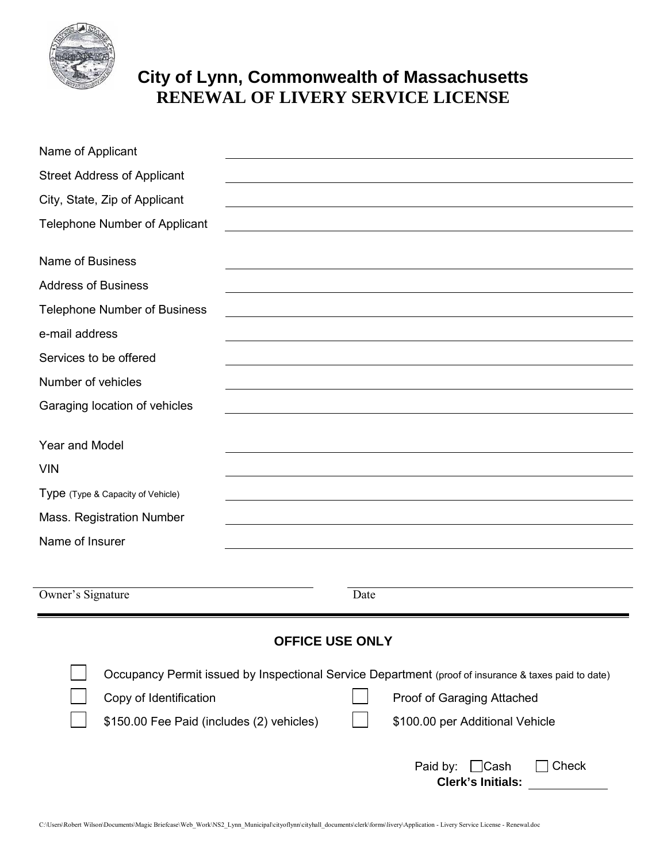

## **City of Lynn, Commonwealth of Massachusetts RENEWAL OF LIVERY SERVICE LICENSE**

| Name of Applicant                         |                                                                                                      |
|-------------------------------------------|------------------------------------------------------------------------------------------------------|
| <b>Street Address of Applicant</b>        |                                                                                                      |
| City, State, Zip of Applicant             |                                                                                                      |
| <b>Telephone Number of Applicant</b>      |                                                                                                      |
| <b>Name of Business</b>                   |                                                                                                      |
| <b>Address of Business</b>                |                                                                                                      |
| <b>Telephone Number of Business</b>       |                                                                                                      |
| e-mail address                            |                                                                                                      |
| Services to be offered                    |                                                                                                      |
| Number of vehicles                        |                                                                                                      |
| Garaging location of vehicles             |                                                                                                      |
| <b>Year and Model</b>                     |                                                                                                      |
| <b>VIN</b>                                |                                                                                                      |
| Type (Type & Capacity of Vehicle)         |                                                                                                      |
| Mass. Registration Number                 |                                                                                                      |
| Name of Insurer                           |                                                                                                      |
|                                           |                                                                                                      |
| Owner's Signature                         | Date                                                                                                 |
|                                           | <b>OFFICE USE ONLY</b>                                                                               |
|                                           |                                                                                                      |
|                                           | Occupancy Permit issued by Inspectional Service Department (proof of insurance & taxes paid to date) |
| Copy of Identification                    | Proof of Garaging Attached                                                                           |
| \$150.00 Fee Paid (includes (2) vehicles) | \$100.00 per Additional Vehicle                                                                      |
|                                           | Paid by:<br>$\Box$ Cash<br>Check<br><b>Clerk's Initials:</b>                                         |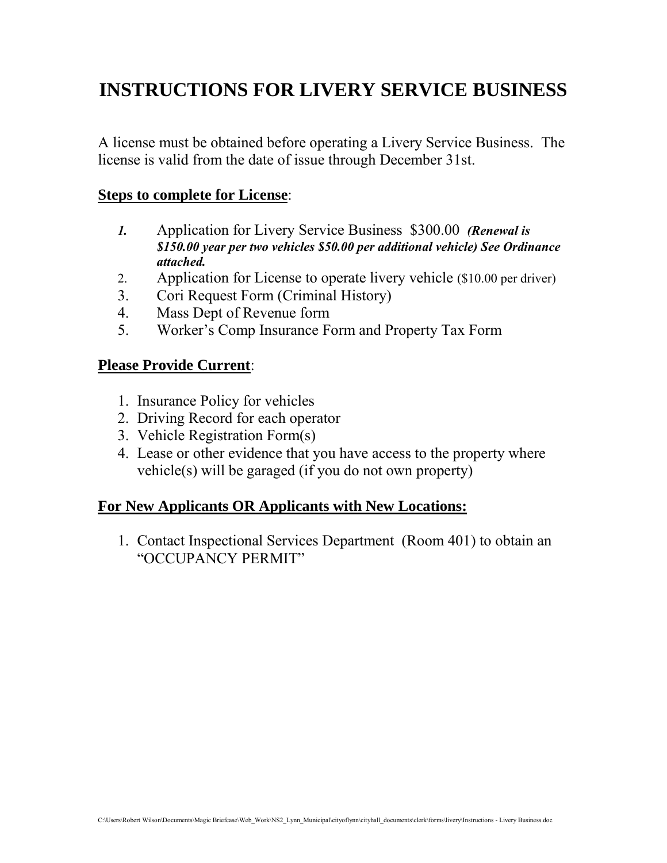## **INSTRUCTIONS FOR LIVERY SERVICE BUSINESS**

A license must be obtained before operating a Livery Service Business. The license is valid from the date of issue through December 31st.

### **Steps to complete for License**:

- *1.* Application for Livery Service Business \$300.00 *(Renewal is \$150.00 year per two vehicles \$50.00 per additional vehicle) See Ordinance attached.*
- 2. Application for License to operate livery vehicle (\$10.00 per driver)
- 3. Cori Request Form (Criminal History)
- 4. Mass Dept of Revenue form
- 5. Worker's Comp Insurance Form and Property Tax Form

### **Please Provide Current**:

- 1. Insurance Policy for vehicles
- 2. Driving Record for each operator
- 3. Vehicle Registration Form(s)
- 4. Lease or other evidence that you have access to the property where vehicle(s) will be garaged (if you do not own property)

### **For New Applicants OR Applicants with New Locations:**

1. Contact Inspectional Services Department (Room 401) to obtain an "OCCUPANCY PERMIT"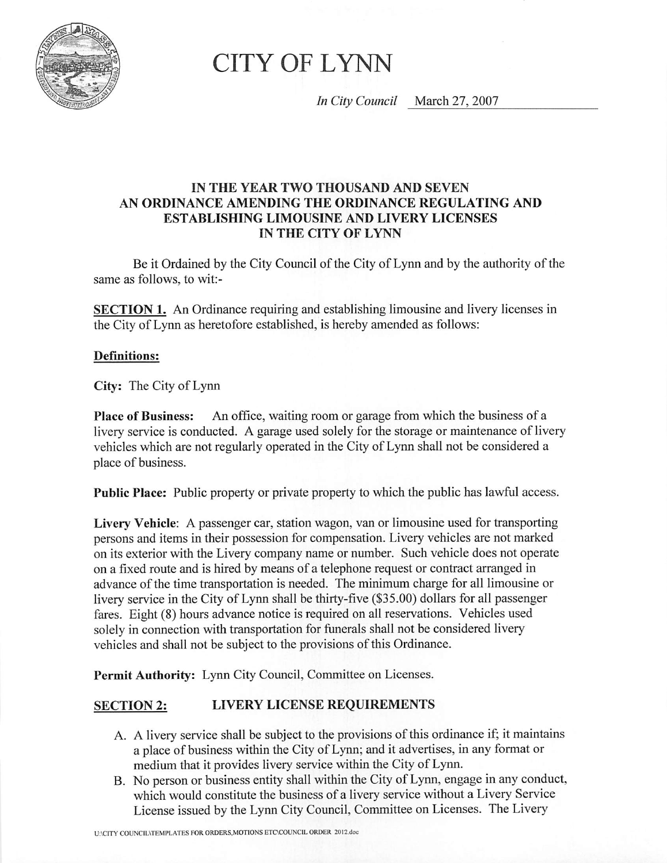

# **CITY OF LYNN**

In City Council March 27, 2007

### IN THE YEAR TWO THOUSAND AND SEVEN AN ORDINANCE AMENDING THE ORDINANCE REGULATING AND **ESTABLISHING LIMOUSINE AND LIVERY LICENSES** IN THE CITY OF LYNN

Be it Ordained by the City Council of the City of Lynn and by the authority of the same as follows, to wit:-

**SECTION 1.** An Ordinance requiring and establishing limousine and livery licenses in the City of Lynn as heretofore established, is hereby amended as follows:

### **Definitions:**

City: The City of Lynn

An office, waiting room or garage from which the business of a **Place of Business:** livery service is conducted. A garage used solely for the storage or maintenance of livery vehicles which are not regularly operated in the City of Lynn shall not be considered a place of business.

**Public Place:** Public property or private property to which the public has lawful access.

Livery Vehicle: A passenger car, station wagon, van or limousine used for transporting persons and items in their possession for compensation. Livery vehicles are not marked on its exterior with the Livery company name or number. Such vehicle does not operate on a fixed route and is hired by means of a telephone request or contract arranged in advance of the time transportation is needed. The minimum charge for all limousine or livery service in the City of Lynn shall be thirty-five (\$35.00) dollars for all passenger fares. Eight (8) hours advance notice is required on all reservations. Vehicles used solely in connection with transportation for funerals shall not be considered livery vehicles and shall not be subject to the provisions of this Ordinance.

Permit Authority: Lynn City Council, Committee on Licenses.

#### **LIVERY LICENSE REQUIREMENTS SECTION 2:**

- A. A livery service shall be subject to the provisions of this ordinance if; it maintains a place of business within the City of Lynn; and it advertises, in any format or medium that it provides livery service within the City of Lynn.
- B. No person or business entity shall within the City of Lynn, engage in any conduct, which would constitute the business of a livery service without a Livery Service License issued by the Lynn City Council, Committee on Licenses. The Livery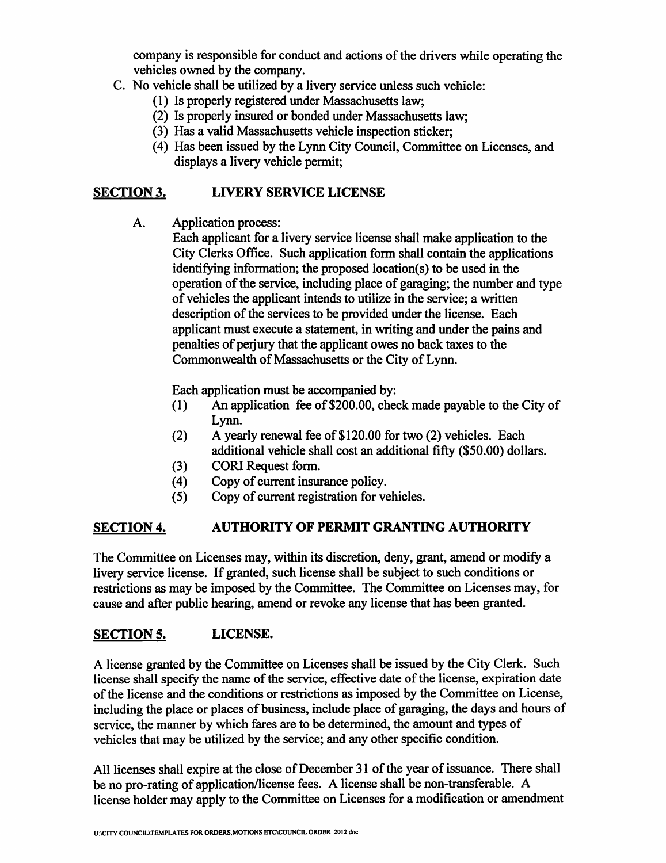company is responsible for conduct and actions of the drivers while operating the vehicles owned by the company.

- C. No vehicle shall be utilized by a livery service unless such vehicle:
	- (1) Is properly registered under Massachusetts law;
	- (2) Is properly insured or bonded under Massachusetts law;
	- (3) Has a valid Massachusetts vehicle inspection sticker:
	- (4) Has been issued by the Lynn City Council, Committee on Licenses, and displays a livery vehicle permit:

#### **LIVERY SERVICE LICENSE SECTION 3.**

A. **Application process:** 

Each applicant for a livery service license shall make application to the City Clerks Office. Such application form shall contain the applications identifying information; the proposed location(s) to be used in the operation of the service, including place of garaging; the number and type of vehicles the applicant intends to utilize in the service; a written description of the services to be provided under the license. Each applicant must execute a statement, in writing and under the pains and penalties of perjury that the applicant owes no back taxes to the Commonwealth of Massachusetts or the City of Lynn.

Each application must be accompanied by:

- An application fee of \$200.00, check made payable to the City of  $(1)$ Lynn.
- A yearly renewal fee of \$120.00 for two (2) vehicles. Each  $(2)$ additional vehicle shall cost an additional fifty (\$50.00) dollars.
- CORI Request form.  $(3)$
- Copy of current insurance policy.  $(4)$
- Copy of current registration for vehicles.  $(5)$

#### **AUTHORITY OF PERMIT GRANTING AUTHORITY SECTION 4.**

The Committee on Licenses may, within its discretion, deny, grant, amend or modify a livery service license. If granted, such license shall be subject to such conditions or restrictions as may be imposed by the Committee. The Committee on Licenses may, for cause and after public hearing, amend or revoke any license that has been granted.

#### LICENSE. **SECTION 5.**

A license granted by the Committee on Licenses shall be issued by the City Clerk. Such license shall specify the name of the service, effective date of the license, expiration date of the license and the conditions or restrictions as imposed by the Committee on License, including the place or places of business, include place of garaging, the days and hours of service, the manner by which fares are to be determined, the amount and types of vehicles that may be utilized by the service; and any other specific condition.

All licenses shall expire at the close of December 31 of the year of issuance. There shall be no pro-rating of application/license fees. A license shall be non-transferable. A license holder may apply to the Committee on Licenses for a modification or amendment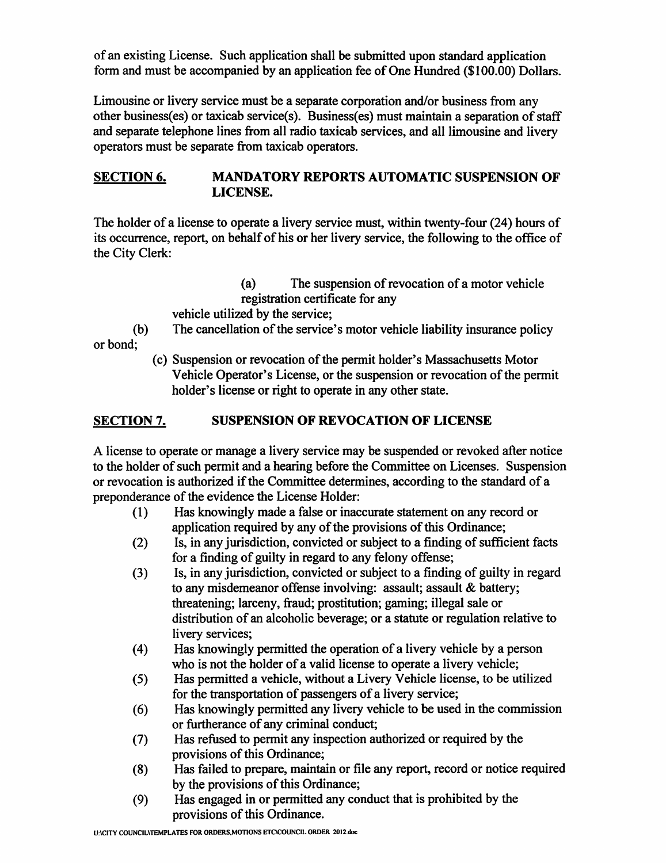of an existing License. Such application shall be submitted upon standard application form and must be accompanied by an application fee of One Hundred (\$100.00) Dollars.

Limousine or livery service must be a separate corporation and/or business from any other business(es) or taxicab service(s). Business(es) must maintain a separation of staff and separate telephone lines from all radio taxicab services, and all limousine and livery operators must be separate from taxicab operators.

#### **SECTION 6. MANDATORY REPORTS AUTOMATIC SUSPENSION OF** LICENSE.

The holder of a license to operate a livery service must, within twenty-four (24) hours of its occurrence, report, on behalf of his or her livery service, the following to the office of the City Clerk:

> $(a)$ The suspension of revocation of a motor vehicle registration certificate for any

vehicle utilized by the service;

 $(b)$ The cancellation of the service's motor vehicle liability insurance policy or bond:

(c) Suspension or revocation of the permit holder's Massachusetts Motor Vehicle Operator's License, or the suspension or revocation of the permit holder's license or right to operate in any other state.

#### **SUSPENSION OF REVOCATION OF LICENSE SECTION 7.**

A license to operate or manage a livery service may be suspended or revoked after notice to the holder of such permit and a hearing before the Committee on Licenses. Suspension or revocation is authorized if the Committee determines, according to the standard of a preponderance of the evidence the License Holder:

- Has knowingly made a false or inaccurate statement on any record or  $(1)$ application required by any of the provisions of this Ordinance;
- Is, in any jurisdiction, convicted or subject to a finding of sufficient facts  $(2)$ for a finding of guilty in regard to any felony offense;
- Is, in any jurisdiction, convicted or subject to a finding of guilty in regard  $(3)$ to any misdemeanor offense involving: assault; assault & battery; threatening; larceny, fraud; prostitution; gaming; illegal sale or distribution of an alcoholic beverage; or a statute or regulation relative to livery services:
- Has knowingly permitted the operation of a livery vehicle by a person  $(4)$ who is not the holder of a valid license to operate a livery vehicle;
- Has permitted a vehicle, without a Livery Vehicle license, to be utilized  $(5)$ for the transportation of passengers of a livery service;
- Has knowingly permitted any livery vehicle to be used in the commission  $(6)$ or furtherance of any criminal conduct;
- Has refused to permit any inspection authorized or required by the  $(7)$ provisions of this Ordinance;
- Has failed to prepare, maintain or file any report, record or notice required  $(8)$ by the provisions of this Ordinance;
- Has engaged in or permitted any conduct that is prohibited by the  $(9)$ provisions of this Ordinance.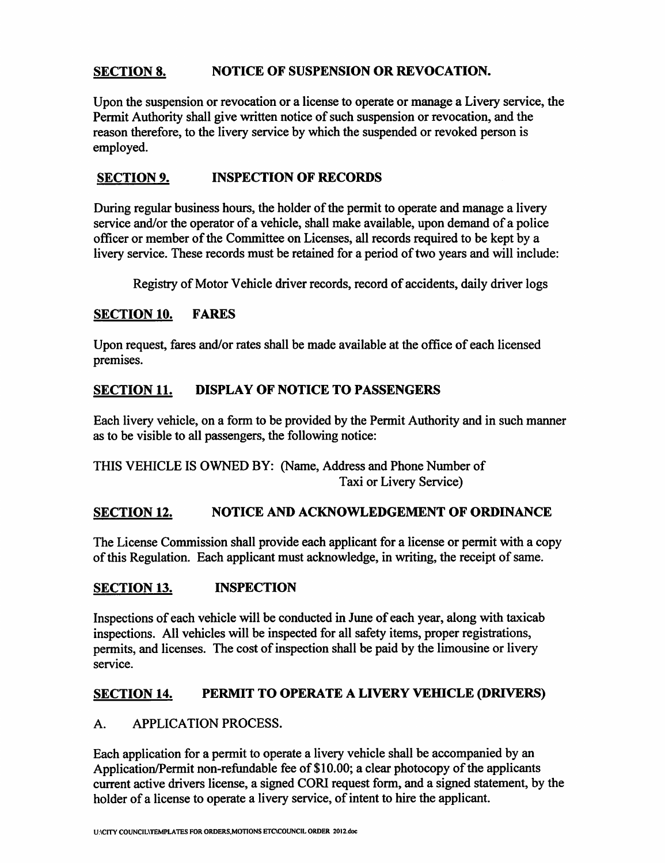#### **NOTICE OF SUSPENSION OR REVOCATION. SECTION 8.**

Upon the suspension or revocation or a license to operate or manage a Livery service, the Permit Authority shall give written notice of such suspension or revocation, and the reason therefore, to the livery service by which the suspended or revoked person is emploved.

#### **INSPECTION OF RECORDS SECTION 9.**

During regular business hours, the holder of the permit to operate and manage a livery service and/or the operator of a vehicle, shall make available, upon demand of a police officer or member of the Committee on Licenses, all records required to be kept by a livery service. These records must be retained for a period of two years and will include:

Registry of Motor Vehicle driver records, record of accidents, daily driver logs

#### **SECTION 10. FARES**

Upon request, fares and/or rates shall be made available at the office of each licensed premises.

#### **DISPLAY OF NOTICE TO PASSENGERS SECTION 11.**

Each livery vehicle, on a form to be provided by the Permit Authority and in such manner as to be visible to all passengers, the following notice:

THIS VEHICLE IS OWNED BY: (Name, Address and Phone Number of Taxi or Livery Service)

#### NOTICE AND ACKNOWLEDGEMENT OF ORDINANCE **SECTION 12.**

The License Commission shall provide each applicant for a license or permit with a copy of this Regulation. Each applicant must acknowledge, in writing, the receipt of same.

#### **INSPECTION SECTION 13.**

Inspections of each vehicle will be conducted in June of each year, along with taxicab inspections. All vehicles will be inspected for all safety items, proper registrations, permits, and licenses. The cost of inspection shall be paid by the limousine or livery service.

#### PERMIT TO OPERATE A LIVERY VEHICLE (DRIVERS) **SECTION 14.**

#### $A_{\cdot}$ **APPLICATION PROCESS.**

Each application for a permit to operate a livery vehicle shall be accompanied by an Application/Permit non-refundable fee of \$10.00; a clear photocopy of the applicants current active drivers license, a signed CORI request form, and a signed statement, by the holder of a license to operate a livery service, of intent to hire the applicant.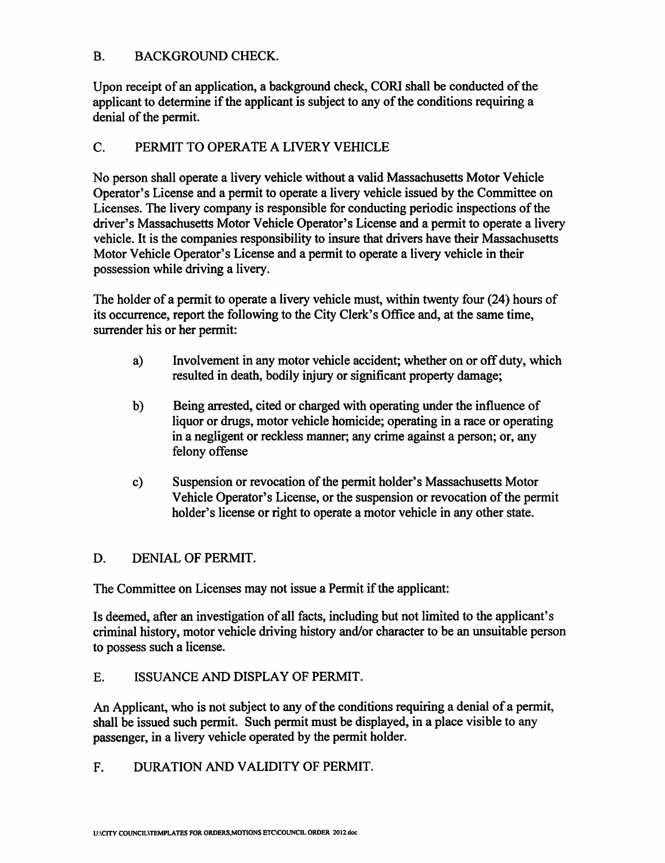#### $B<sub>1</sub>$ **BACKGROUND CHECK.**

Upon receipt of an application, a background check, CORI shall be conducted of the applicant to determine if the applicant is subject to any of the conditions requiring a denial of the permit.

#### C. PERMIT TO OPERATE A LIVERY VEHICLE

No person shall operate a livery vehicle without a valid Massachusetts Motor Vehicle Operator's License and a permit to operate a livery vehicle issued by the Committee on Licenses. The livery company is responsible for conducting periodic inspections of the driver's Massachusetts Motor Vehicle Operator's License and a permit to operate a livery vehicle. It is the companies responsibility to insure that drivers have their Massachusetts Motor Vehicle Operator's License and a permit to operate a livery vehicle in their possession while driving a livery.

The holder of a permit to operate a livery vehicle must, within twenty four (24) hours of its occurrence, report the following to the City Clerk's Office and, at the same time, surrender his or her permit:

- a) Involvement in any motor vehicle accident; whether on or off duty, which resulted in death, bodily injury or significant property damage;
- $b)$ Being arrested, cited or charged with operating under the influence of liquor or drugs, motor vehicle homicide; operating in a race or operating in a negligent or reckless manner; any crime against a person; or, any felony offense
- Suspension or revocation of the permit holder's Massachusetts Motor  $c)$ Vehicle Operator's License, or the suspension or revocation of the permit holder's license or right to operate a motor vehicle in any other state.

#### D. DENIAL OF PERMIT.

The Committee on Licenses may not issue a Permit if the applicant:

Is deemed, after an investigation of all facts, including but not limited to the applicant's criminal history, motor vehicle driving history and/or character to be an unsuitable person to possess such a license.

#### E. ISSUANCE AND DISPLAY OF PERMIT.

An Applicant, who is not subject to any of the conditions requiring a denial of a permit, shall be issued such permit. Such permit must be displayed, in a place visible to any passenger, in a livery vehicle operated by the permit holder.

F. DURATION AND VALIDITY OF PERMIT.